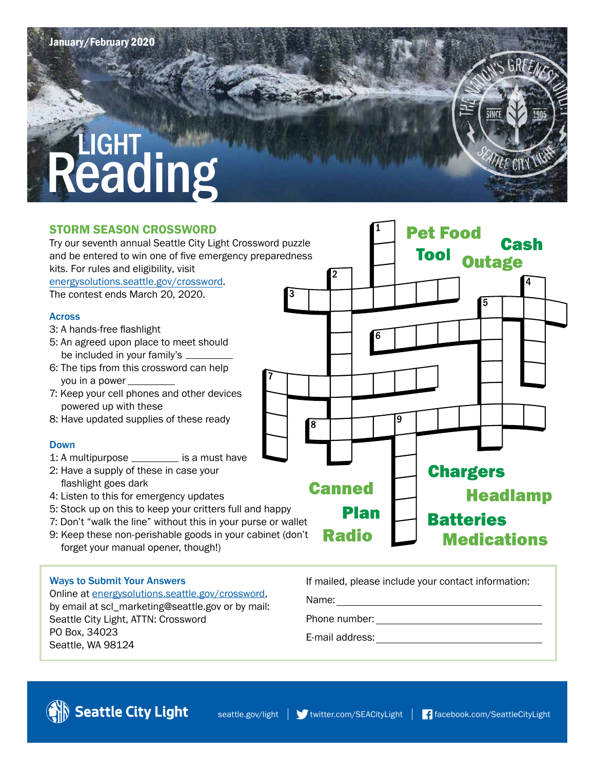# Reading

### STORM SEASON CROSSWORD

**Pet Food** Try our seventh annual Seattle City Light Crossword puzzle Cash and be entered to win one of five emergency preparedness **Outage** kits. For rules and eligibility, visit [energysolutions.seattle.gov/crossword.](http://energysolutions.seattle.gov/crossword) The contest ends March 20, 2020. Across 3: A hands-free flashlight 5: An agreed upon place to meet should be included in your family's 6: The tips from this crossword can help you in a power 7: Keep your cell phones and other devices powered up with these 8: Have updated supplies of these ready 8 Down 1: A multipurpose  $\frac{1}{1}$  is a must have **Chargers** 2: Have a supply of these in case your flashlight goes dark **Canned Headlamp** 4: Listen to this for emergency updates 5: Stock up on this to keep your critters full and happy **Plan Batteries** 7: Don't "walk the line" without this in your purse or wallet **Radio** 9: Keep these non-perishable goods in your cabinet (don't **Medications** forget your manual opener, though!)

### Ways to Submit Your Answers

Online at [energysolutions.seattle.gov/crossword,](http://energysolutions.seattle.gov/crossword) by email at scl\_marketing@seattle.gov or by mail: Seattle City Light, ATTN: Crossword PO Box, 34023 Seattle, WA 98124

If mailed, please include your contact information:

Name:

Phone number:

E-mail address: <u>contract</u>